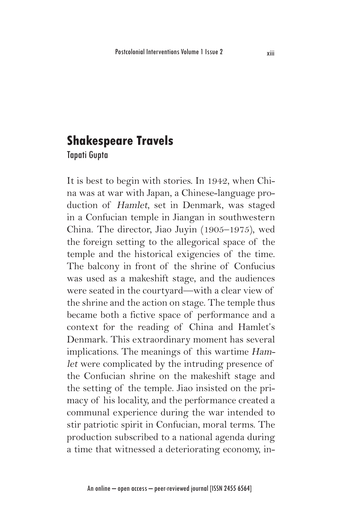## **Shakespeare Travels**

Tapati Gupta

It is best to begin with stories. In 1942, when China was at war with Japan, a Chinese-language production of Hamlet, set in Denmark, was staged in a Confucian temple in Jiangan in southwestern China. The director, Jiao Juyin (1905–1975), wed the foreign setting to the allegorical space of the temple and the historical exigencies of the time. The balcony in front of the shrine of Confucius was used as a makeshift stage, and the audiences were seated in the courtyard—with a clear view of the shrine and the action on stage. The temple thus became both a fictive space of performance and a context for the reading of China and Hamlet's Denmark. This extraordinary moment has several implications. The meanings of this wartime Hamlet were complicated by the intruding presence of the Confucian shrine on the makeshift stage and the setting of the temple. Jiao insisted on the primacy of his locality, and the performance created a communal experience during the war intended to stir patriotic spirit in Confucian, moral terms. The production subscribed to a national agenda during a time that witnessed a deteriorating economy, in-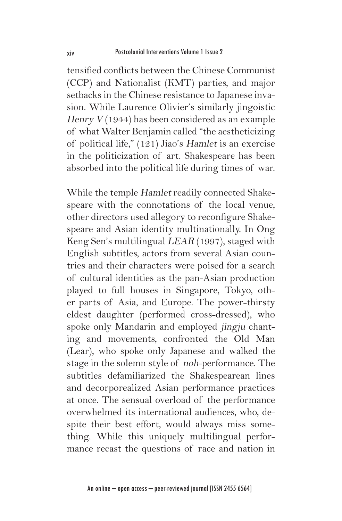tensified conflicts between the Chinese Communist (CCP) and Nationalist (KMT) parties, and major setbacks in the Chinese resistance to Japanese invasion. While Laurence Olivier's similarly jingoistic Henry  $V(1944)$  has been considered as an example of what Walter Benjamin called "the aestheticizing of political life," (121) Jiao's Hamlet is an exercise in the politicization of art. Shakespeare has been absorbed into the political life during times of war.

While the temple Hamlet readily connected Shakespeare with the connotations of the local venue, other directors used allegory to reconfigure Shakespeare and Asian identity multinationally. In Ong Keng Sen's multilingual LEAR (1997), staged with English subtitles, actors from several Asian countries and their characters were poised for a search of cultural identities as the pan-Asian production played to full houses in Singapore, Tokyo, other parts of Asia, and Europe. The power-thirsty eldest daughter (performed cross-dressed), who spoke only Mandarin and employed jingju chanting and movements, confronted the Old Man (Lear), who spoke only Japanese and walked the stage in the solemn style of noh-performance. The subtitles defamiliarized the Shakespearean lines and decorporealized Asian performance practices at once. The sensual overload of the performance overwhelmed its international audiences, who, despite their best effort, would always miss something. While this uniquely multilingual performance recast the questions of race and nation in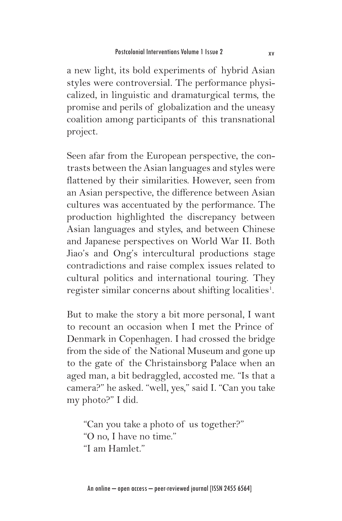a new light, its bold experiments of hybrid Asian styles were controversial. The performance physicalized, in linguistic and dramaturgical terms, the promise and perils of globalization and the uneasy coalition among participants of this transnational project.

Seen afar from the European perspective, the contrasts between the Asian languages and styles were flattened by their similarities. However, seen from an Asian perspective, the difference between Asian cultures was accentuated by the performance. The production highlighted the discrepancy between Asian languages and styles, and between Chinese and Japanese perspectives on World War II. Both Jiao's and Ong's intercultural productions stage contradictions and raise complex issues related to cultural politics and international touring. They register similar concerns about shifting localities<sup>1</sup>.

But to make the story a bit more personal, I want to recount an occasion when I met the Prince of Denmark in Copenhagen. I had crossed the bridge from the side of the National Museum and gone up to the gate of the Christainsborg Palace when an aged man, a bit bedraggled, accosted me. "Is that a camera?" he asked. "well, yes," said I. "Can you take my photo?" I did.

"Can you take a photo of us together?" "O no, I have no time." "I am Hamlet."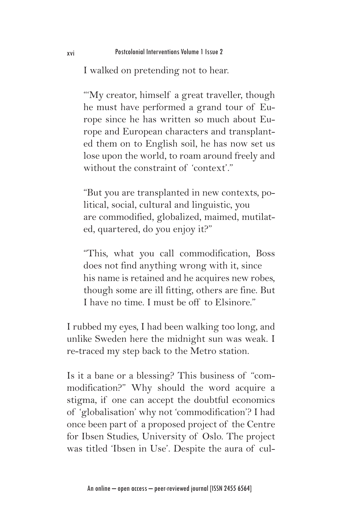I walked on pretending not to hear.

"My creator, himself a great traveller, though he must have performed a grand tour of Europe since he has written so much about Europe and European characters and transplanted them on to English soil, he has now set us lose upon the world, to roam around freely and without the constraint of 'context'."

"But you are transplanted in new contexts, political, social, cultural and linguistic, you are commodified, globalized, maimed, mutilated, quartered, do you enjoy it?"

"This, what you call commodification, Boss does not find anything wrong with it, since his name is retained and he acquires new robes, though some are ill fitting, others are fine. But I have no time. I must be off to Elsinore."

I rubbed my eyes, I had been walking too long, and unlike Sweden here the midnight sun was weak. I re-traced my step back to the Metro station.

Is it a bane or a blessing? This business of "commodification?" Why should the word acquire a stigma, if one can accept the doubtful economics of 'globalisation' why not 'commodification'? I had once been part of a proposed project of the Centre for Ibsen Studies, University of Oslo. The project was titled 'Ibsen in Use'. Despite the aura of cul-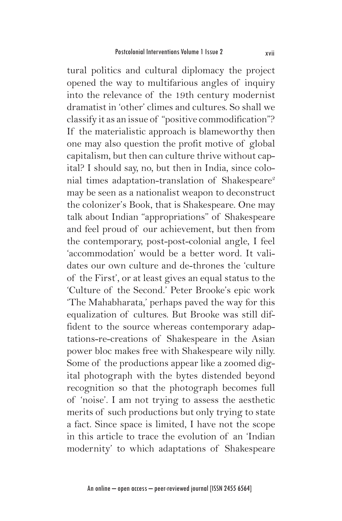tural politics and cultural diplomacy the project opened the way to multifarious angles of inquiry into the relevance of the 19th century modernist dramatist in 'other' climes and cultures. So shall we classify it as an issue of "positive commodification"? If the materialistic approach is blameworthy then one may also question the profit motive of global capitalism, but then can culture thrive without capital? I should say, no, but then in India, since colonial times adaptation-translation of Shakespeare<sup>2</sup> may be seen as a nationalist weapon to deconstruct the colonizer's Book, that is Shakespeare. One may talk about Indian "appropriations" of Shakespeare and feel proud of our achievement, but then from the contemporary, post-post-colonial angle, I feel 'accommodation' would be a better word. It validates our own culture and de-thrones the 'culture of the First', or at least gives an equal status to the 'Culture of the Second.' Peter Brooke's epic work 'The Mahabharata,' perhaps paved the way for this equalization of cultures. But Brooke was still diffident to the source whereas contemporary adaptations-re-creations of Shakespeare in the Asian power bloc makes free with Shakespeare wily nilly. Some of the productions appear like a zoomed digital photograph with the bytes distended beyond recognition so that the photograph becomes full of 'noise'. I am not trying to assess the aesthetic merits of such productions but only trying to state a fact. Since space is limited, I have not the scope in this article to trace the evolution of an 'Indian modernity' to which adaptations of Shakespeare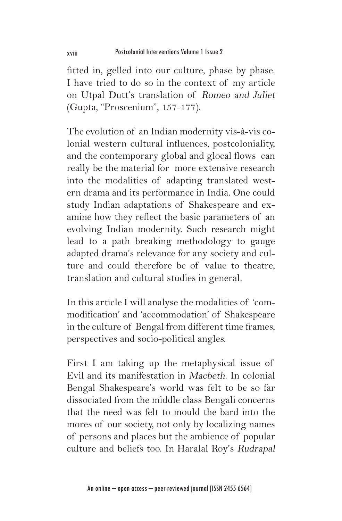fitted in, gelled into our culture, phase by phase. I have tried to do so in the context of my article on Utpal Dutt's translation of Romeo and Juliet (Gupta, "Proscenium", 157-177).

The evolution of an Indian modernity vis-à-vis colonial western cultural influences, postcoloniality, and the contemporary global and glocal flows can really be the material for more extensive research into the modalities of adapting translated western drama and its performance in India. One could study Indian adaptations of Shakespeare and examine how they reflect the basic parameters of an evolving Indian modernity. Such research might lead to a path breaking methodology to gauge adapted drama's relevance for any society and culture and could therefore be of value to theatre, translation and cultural studies in general.

In this article I will analyse the modalities of 'commodification' and 'accommodation' of Shakespeare in the culture of Bengal from different time frames, perspectives and socio-political angles.

First I am taking up the metaphysical issue of Evil and its manifestation in Macbeth. In colonial Bengal Shakespeare's world was felt to be so far dissociated from the middle class Bengali concerns that the need was felt to mould the bard into the mores of our society, not only by localizing names of persons and places but the ambience of popular culture and beliefs too. In Haralal Roy's Rudrapal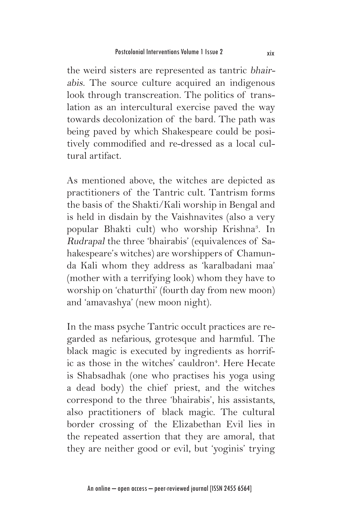the weird sisters are represented as tantric bhairabis. The source culture acquired an indigenous look through transcreation. The politics of translation as an intercultural exercise paved the way towards decolonization of the bard. The path was being paved by which Shakespeare could be positively commodified and re-dressed as a local cultural artifact.

As mentioned above, the witches are depicted as practitioners of the Tantric cult. Tantrism forms the basis of the Shakti/Kali worship in Bengal and is held in disdain by the Vaishnavites (also a very popular Bhakti cult) who worship Krishna<sup>3</sup>. In Rudrapal the three 'bhairabis' (equivalences of Sahakespeare's witches) are worshippers of Chamunda Kali whom they address as 'karalbadani maa' (mother with a terrifying look) whom they have to worship on 'chaturthi' (fourth day from new moon) and 'amavashya' (new moon night).

In the mass psyche Tantric occult practices are regarded as nefarious, grotesque and harmful. The black magic is executed by ingredients as horrific as those in the witches' cauldron<sup>4</sup>. Here Hecate is Shabsadhak (one who practises his yoga using a dead body) the chief priest, and the witches correspond to the three 'bhairabis', his assistants, also practitioners of black magic. The cultural border crossing of the Elizabethan Evil lies in the repeated assertion that they are amoral, that they are neither good or evil, but 'yoginis' trying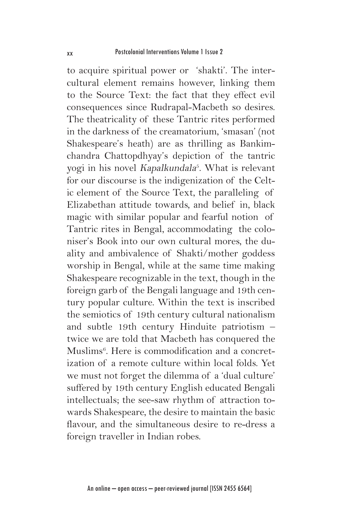to acquire spiritual power or 'shakti'. The intercultural element remains however, linking them to the Source Text: the fact that they effect evil consequences since Rudrapal-Macbeth so desires. The theatricality of these Tantric rites performed in the darkness of the creamatorium, 'smasan' (not Shakespeare's heath) are as thrilling as Bankimchandra Chattopdhyay's depiction of the tantric yogi in his novel *Kapalkundala<sup>5</sup>*. What is relevant for our discourse is the indigenization of the Celtic element of the Source Text, the paralleling of Elizabethan attitude towards, and belief in, black magic with similar popular and fearful notion of Tantric rites in Bengal, accommodating the coloniser's Book into our own cultural mores, the duality and ambivalence of Shakti/mother goddess worship in Bengal, while at the same time making Shakespeare recognizable in the text, though in the foreign garb of the Bengali language and 19th century popular culture. Within the text is inscribed the semiotics of 19th century cultural nationalism and subtle 19th century Hinduite patriotism – twice we are told that Macbeth has conquered the Muslims6 . Here is commodification and a concretization of a remote culture within local folds. Yet we must not forget the dilemma of a 'dual culture' suffered by 19th century English educated Bengali intellectuals; the see-saw rhythm of attraction towards Shakespeare, the desire to maintain the basic flavour, and the simultaneous desire to re-dress a foreign traveller in Indian robes.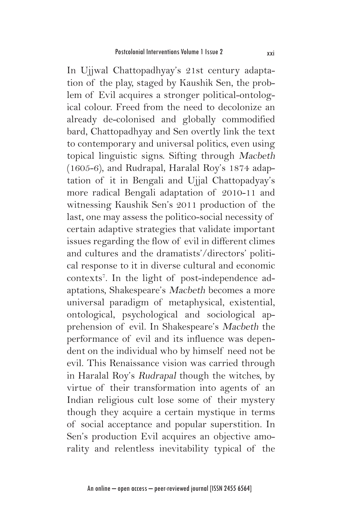In Ujjwal Chattopadhyay's 21st century adaptation of the play, staged by Kaushik Sen, the problem of Evil acquires a stronger political-ontological colour. Freed from the need to decolonize an already de-colonised and globally commodified bard, Chattopadhyay and Sen overtly link the text to contemporary and universal politics, even using topical linguistic signs. Sifting through Macbeth (1605-6), and Rudrapal, Haralal Roy's 1874 adaptation of it in Bengali and Ujjal Chattopadyay's more radical Bengali adaptation of 2010-11 and witnessing Kaushik Sen's 2011 production of the last, one may assess the politico-social necessity of certain adaptive strategies that validate important issues regarding the flow of evil in different climes and cultures and the dramatists'/directors' political response to it in diverse cultural and economic contexts7 . In the light of post-independence adaptations, Shakespeare's Macbeth becomes a more universal paradigm of metaphysical, existential, ontological, psychological and sociological apprehension of evil. In Shakespeare's Macbeth the performance of evil and its influence was dependent on the individual who by himself need not be evil. This Renaissance vision was carried through in Haralal Roy's Rudrapal though the witches, by virtue of their transformation into agents of an Indian religious cult lose some of their mystery though they acquire a certain mystique in terms of social acceptance and popular superstition. In Sen's production Evil acquires an objective amorality and relentless inevitability typical of the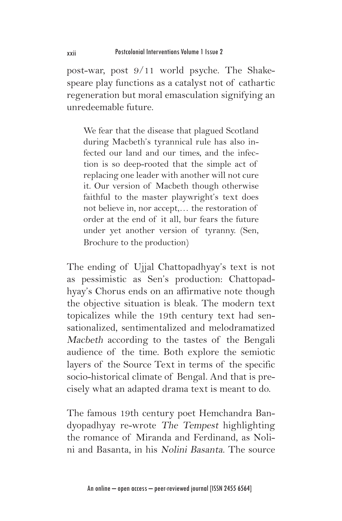post-war, post 9/11 world psyche. The Shakespeare play functions as a catalyst not of cathartic regeneration but moral emasculation signifying an unredeemable future.

We fear that the disease that plagued Scotland during Macbeth's tyrannical rule has also infected our land and our times, and the infection is so deep-rooted that the simple act of replacing one leader with another will not cure it. Our version of Macbeth though otherwise faithful to the master playwright's text does not believe in, nor accept,… the restoration of order at the end of it all, bur fears the future under yet another version of tyranny. (Sen, Brochure to the production)

The ending of Ujjal Chattopadhyay's text is not as pessimistic as Sen's production: Chattopadhyay's Chorus ends on an affirmative note though the objective situation is bleak. The modern text topicalizes while the 19th century text had sensationalized, sentimentalized and melodramatized Macbeth according to the tastes of the Bengali audience of the time. Both explore the semiotic layers of the Source Text in terms of the specific socio-historical climate of Bengal. And that is precisely what an adapted drama text is meant to do.

The famous 19th century poet Hemchandra Bandyopadhyay re-wrote The Tempest highlighting the romance of Miranda and Ferdinand, as Nolini and Basanta, in his Nolini Basanta. The source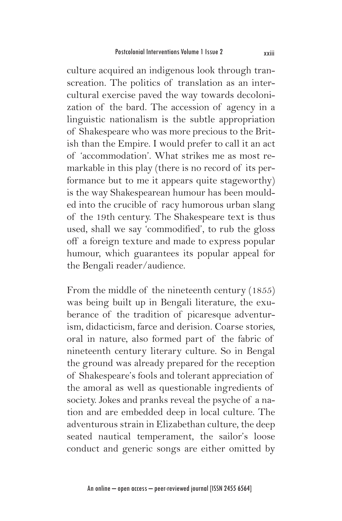culture acquired an indigenous look through transcreation. The politics of translation as an intercultural exercise paved the way towards decolonization of the bard. The accession of agency in a linguistic nationalism is the subtle appropriation of Shakespeare who was more precious to the British than the Empire. I would prefer to call it an act of 'accommodation'. What strikes me as most remarkable in this play (there is no record of its performance but to me it appears quite stageworthy) is the way Shakespearean humour has been moulded into the crucible of racy humorous urban slang of the 19th century. The Shakespeare text is thus used, shall we say 'commodified', to rub the gloss off a foreign texture and made to express popular humour, which guarantees its popular appeal for the Bengali reader/audience.

From the middle of the nineteenth century (1855) was being built up in Bengali literature, the exuberance of the tradition of picaresque adventurism, didacticism, farce and derision. Coarse stories, oral in nature, also formed part of the fabric of nineteenth century literary culture. So in Bengal the ground was already prepared for the reception of Shakespeare's fools and tolerant appreciation of the amoral as well as questionable ingredients of society. Jokes and pranks reveal the psyche of a nation and are embedded deep in local culture. The adventurous strain in Elizabethan culture, the deep seated nautical temperament, the sailor's loose conduct and generic songs are either omitted by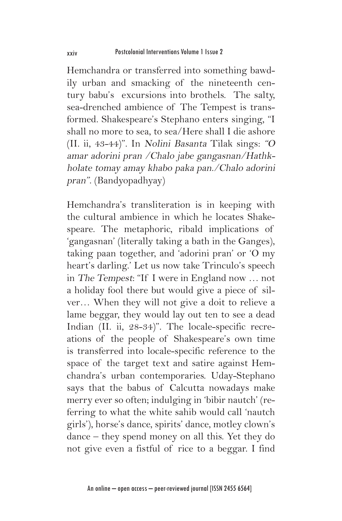Hemchandra or transferred into something bawdily urban and smacking of the nineteenth century babu's excursions into brothels. The salty, sea-drenched ambience of The Tempest is transformed. Shakespeare's Stephano enters singing, "I shall no more to sea, to sea/Here shall I die ashore (II. ii, 43-44)". In Nolini Basanta Tilak sings: "O amar adorini pran /Chalo jabe gangasnan/Hathkholate tomay amay khabo paka pan./Chalo adorini pran". (Bandyopadhyay)

Hemchandra's transliteration is in keeping with the cultural ambience in which he locates Shakespeare. The metaphoric, ribald implications of 'gangasnan' (literally taking a bath in the Ganges), taking paan together, and 'adorini pran' or 'O my heart's darling.' Let us now take Trinculo's speech in The Tempest: "If I were in England now … not a holiday fool there but would give a piece of silver… When they will not give a doit to relieve a lame beggar, they would lay out ten to see a dead Indian (II. ii, 28-34)". The locale-specific recreations of the people of Shakespeare's own time is transferred into locale-specific reference to the space of the target text and satire against Hemchandra's urban contemporaries. Uday-Stephano says that the babus of Calcutta nowadays make merry ever so often; indulging in 'bibir nautch' (referring to what the white sahib would call 'nautch girls'), horse's dance, spirits' dance, motley clown's dance – they spend money on all this. Yet they do not give even a fistful of rice to a beggar. I find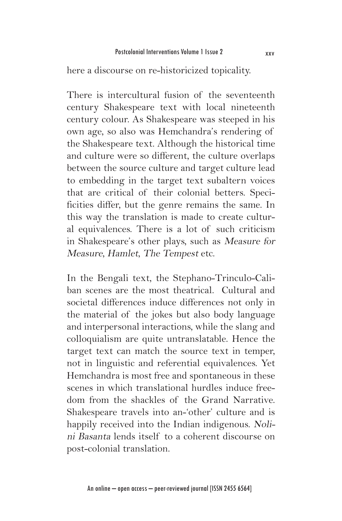here a discourse on re-historicized topicality.

There is intercultural fusion of the seventeenth century Shakespeare text with local nineteenth century colour. As Shakespeare was steeped in his own age, so also was Hemchandra's rendering of the Shakespeare text. Although the historical time and culture were so different, the culture overlaps between the source culture and target culture lead to embedding in the target text subaltern voices that are critical of their colonial betters. Specificities differ, but the genre remains the same. In this way the translation is made to create cultural equivalences. There is a lot of such criticism in Shakespeare's other plays, such as Measure for Measure, Hamlet, The Tempest etc.

In the Bengali text, the Stephano-Trinculo-Caliban scenes are the most theatrical. Cultural and societal differences induce differences not only in the material of the jokes but also body language and interpersonal interactions, while the slang and colloquialism are quite untranslatable. Hence the target text can match the source text in temper, not in linguistic and referential equivalences. Yet Hemchandra is most free and spontaneous in these scenes in which translational hurdles induce freedom from the shackles of the Grand Narrative. Shakespeare travels into an-'other' culture and is happily received into the Indian indigenous. Nolini Basanta lends itself to a coherent discourse on post-colonial translation.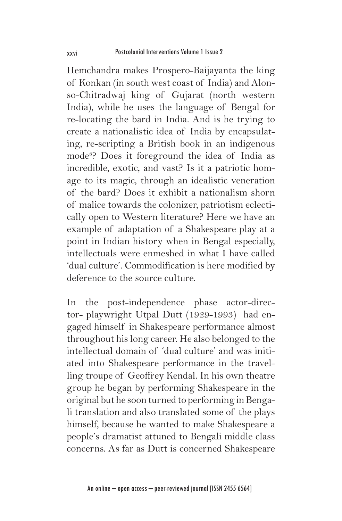Hemchandra makes Prospero-Baijayanta the king of Konkan (in south west coast of India) and Alonso-Chitradwaj king of Gujarat (north western India), while he uses the language of Bengal for re-locating the bard in India. And is he trying to create a nationalistic idea of India by encapsulating, re-scripting a British book in an indigenous mode8 ? Does it foreground the idea of India as incredible, exotic, and vast? Is it a patriotic homage to its magic, through an idealistic veneration of the bard? Does it exhibit a nationalism shorn of malice towards the colonizer, patriotism eclectically open to Western literature? Here we have an example of adaptation of a Shakespeare play at a point in Indian history when in Bengal especially, intellectuals were enmeshed in what I have called 'dual culture'. Commodification is here modified by deference to the source culture.

In the post-independence phase actor-director- playwright Utpal Dutt (1929-1993) had engaged himself in Shakespeare performance almost throughout his long career. He also belonged to the intellectual domain of 'dual culture' and was initiated into Shakespeare performance in the travelling troupe of Geoffrey Kendal. In his own theatre group he began by performing Shakespeare in the original but he soon turned to performing in Bengali translation and also translated some of the plays himself, because he wanted to make Shakespeare a people's dramatist attuned to Bengali middle class concerns. As far as Dutt is concerned Shakespeare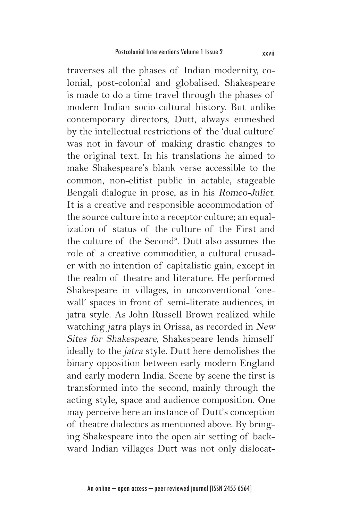traverses all the phases of Indian modernity, colonial, post-colonial and globalised. Shakespeare is made to do a time travel through the phases of modern Indian socio-cultural history. But unlike contemporary directors, Dutt, always enmeshed by the intellectual restrictions of the 'dual culture' was not in favour of making drastic changes to the original text. In his translations he aimed to make Shakespeare's blank verse accessible to the common, non-elitist public in actable, stageable Bengali dialogue in prose, as in his Romeo-Juliet. It is a creative and responsible accommodation of the source culture into a receptor culture; an equalization of status of the culture of the First and the culture of the Second<sup>9</sup>. Dutt also assumes the role of a creative commodifier, a cultural crusader with no intention of capitalistic gain, except in the realm of theatre and literature. He performed Shakespeare in villages, in unconventional 'onewall' spaces in front of semi-literate audiences, in jatra style. As John Russell Brown realized while watching jatra plays in Orissa, as recorded in New Sites for Shakespeare, Shakespeare lends himself ideally to the jatra style. Dutt here demolishes the binary opposition between early modern England and early modern India. Scene by scene the first is transformed into the second, mainly through the acting style, space and audience composition. One may perceive here an instance of Dutt's conception of theatre dialectics as mentioned above. By bringing Shakespeare into the open air setting of backward Indian villages Dutt was not only dislocat-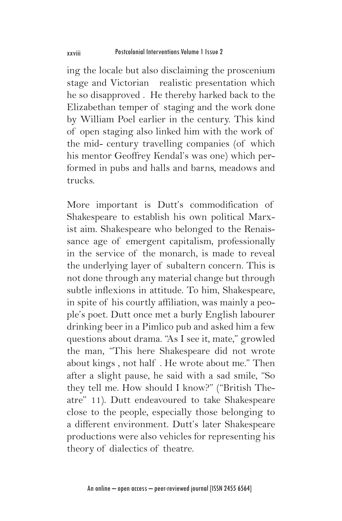ing the locale but also disclaiming the proscenium stage and Victorian realistic presentation which he so disapproved . He thereby harked back to the Elizabethan temper of staging and the work done by William Poel earlier in the century. This kind of open staging also linked him with the work of the mid- century travelling companies (of which his mentor Geoffrey Kendal's was one) which performed in pubs and halls and barns, meadows and trucks.

More important is Dutt's commodification of Shakespeare to establish his own political Marxist aim. Shakespeare who belonged to the Renaissance age of emergent capitalism, professionally in the service of the monarch, is made to reveal the underlying layer of subaltern concern. This is not done through any material change but through subtle inflexions in attitude. To him, Shakespeare, in spite of his courtly affiliation, was mainly a people's poet. Dutt once met a burly English labourer drinking beer in a Pimlico pub and asked him a few questions about drama. "As I see it, mate," growled the man, "This here Shakespeare did not wrote about kings , not half . He wrote about me." Then after a slight pause, he said with a sad smile, "So they tell me. How should I know?" ("British Theatre" 11). Dutt endeavoured to take Shakespeare close to the people, especially those belonging to a different environment. Dutt's later Shakespeare productions were also vehicles for representing his theory of dialectics of theatre.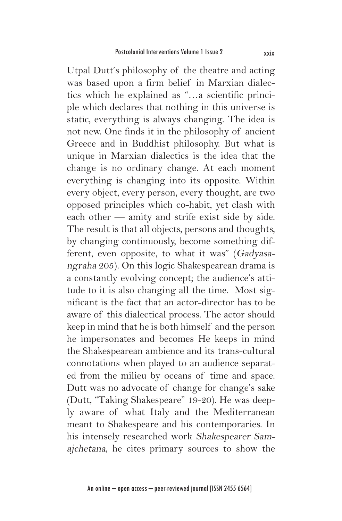Utpal Dutt's philosophy of the theatre and acting was based upon a firm belief in Marxian dialectics which he explained as "…a scientific principle which declares that nothing in this universe is static, everything is always changing. The idea is not new. One finds it in the philosophy of ancient Greece and in Buddhist philosophy. But what is unique in Marxian dialectics is the idea that the change is no ordinary change. At each moment everything is changing into its opposite. Within every object, every person, every thought, are two opposed principles which co-habit, yet clash with each other — amity and strife exist side by side. The result is that all objects, persons and thoughts, by changing continuously, become something different, even opposite, to what it was" (Gadyasangraha 205). On this logic Shakespearean drama is a constantly evolving concept; the audience's attitude to it is also changing all the time. Most significant is the fact that an actor-director has to be aware of this dialectical process. The actor should keep in mind that he is both himself and the person he impersonates and becomes He keeps in mind the Shakespearean ambience and its trans-cultural connotations when played to an audience separated from the milieu by oceans of time and space. Dutt was no advocate of change for change's sake (Dutt, "Taking Shakespeare" 19-20). He was deeply aware of what Italy and the Mediterranean meant to Shakespeare and his contemporaries. In his intensely researched work Shakespearer Samajchetana, he cites primary sources to show the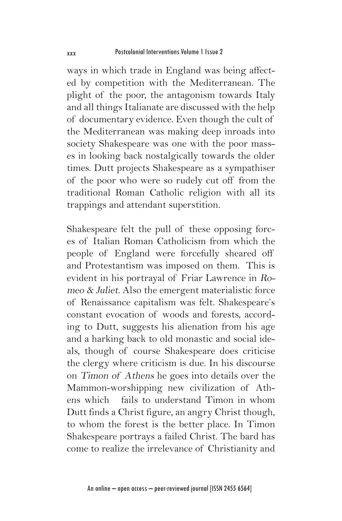ways in which trade in England was being affected by competition with the Mediterranean. The plight of the poor, the antagonism towards Italy and all things Italianate are discussed with the help of documentary evidence. Even though the cult of the Mediterranean was making deep inroads into society Shakespeare was one with the poor masses in looking back nostalgically towards the older times. Dutt projects Shakespeare as a sympathiser of the poor who were so rudely cut off from the traditional Roman Catholic religion with all its trappings and attendant superstition.

Shakespeare felt the pull of these opposing forces of Italian Roman Catholicism from which the people of England were forcefully sheared off and Protestantism was imposed on them. This is evident in his portrayal of Friar Lawrence in Romeo & Juliet. Also the emergent materialistic force of Renaissance capitalism was felt. Shakespeare's constant evocation of woods and forests, according to Dutt, suggests his alienation from his age and a harking back to old monastic and social ideals, though of course Shakespeare does criticise the clergy where criticism is due. In his discourse on Timon of Athens he goes into details over the Mammon-worshipping new civilization of Athens which fails to understand Timon in whom Dutt finds a Christ figure, an angry Christ though, to whom the forest is the better place. In Timon Shakespeare portrays a failed Christ. The bard has come to realize the irrelevance of Christianity and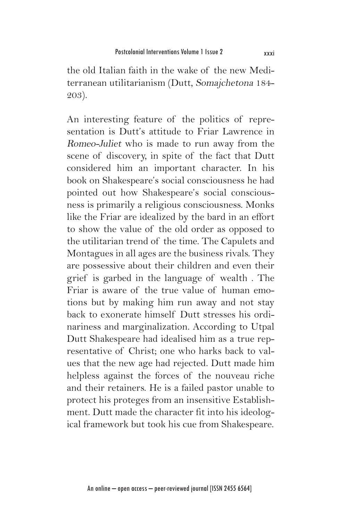the old Italian faith in the wake of the new Mediterranean utilitarianism (Dutt, Somajchetona 184- 203).

An interesting feature of the politics of representation is Dutt's attitude to Friar Lawrence in Romeo-Juliet who is made to run away from the scene of discovery, in spite of the fact that Dutt considered him an important character. In his book on Shakespeare's social consciousness he had pointed out how Shakespeare's social consciousness is primarily a religious consciousness. Monks like the Friar are idealized by the bard in an effort to show the value of the old order as opposed to the utilitarian trend of the time. The Capulets and Montagues in all ages are the business rivals. They are possessive about their children and even their grief is garbed in the language of wealth . The Friar is aware of the true value of human emotions but by making him run away and not stay back to exonerate himself Dutt stresses his ordinariness and marginalization. According to Utpal Dutt Shakespeare had idealised him as a true representative of Christ; one who harks back to values that the new age had rejected. Dutt made him helpless against the forces of the nouveau riche and their retainers. He is a failed pastor unable to protect his proteges from an insensitive Establishment. Dutt made the character fit into his ideological framework but took his cue from Shakespeare.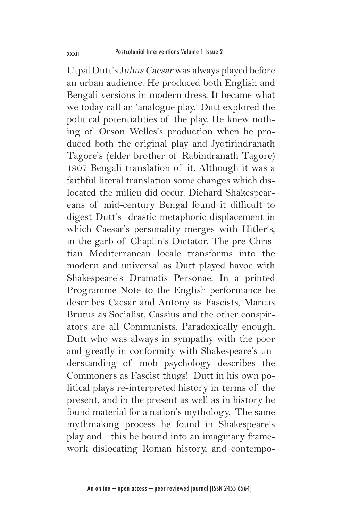Utpal Dutt's Julius Caesar was always played before an urban audience. He produced both English and Bengali versions in modern dress. It became what we today call an 'analogue play.' Dutt explored the political potentialities of the play. He knew nothing of Orson Welles's production when he produced both the original play and Jyotirindranath Tagore's (elder brother of Rabindranath Tagore) 1907 Bengali translation of it. Although it was a faithful literal translation some changes which dislocated the milieu did occur. Diehard Shakespeareans of mid-century Bengal found it difficult to digest Dutt's drastic metaphoric displacement in which Caesar's personality merges with Hitler's, in the garb of Chaplin's Dictator. The pre-Christian Mediterranean locale transforms into the modern and universal as Dutt played havoc with Shakespeare's Dramatis Personae. In a printed Programme Note to the English performance he describes Caesar and Antony as Fascists, Marcus Brutus as Socialist, Cassius and the other conspirators are all Communists. Paradoxically enough, Dutt who was always in sympathy with the poor and greatly in conformity with Shakespeare's understanding of mob psychology describes the Commoners as Fascist thugs! Dutt in his own political plays re-interpreted history in terms of the present, and in the present as well as in history he found material for a nation's mythology. The same mythmaking process he found in Shakespeare's play and this he bound into an imaginary framework dislocating Roman history, and contempo-

An online – open access – peer-reviewed journal [ISSN 2455 6564]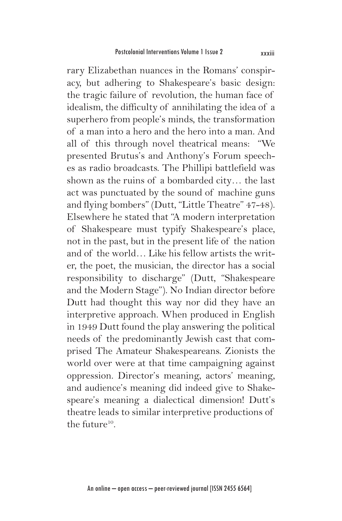rary Elizabethan nuances in the Romans' conspiracy, but adhering to Shakespeare's basic design: the tragic failure of revolution, the human face of idealism, the difficulty of annihilating the idea of a superhero from people's minds, the transformation of a man into a hero and the hero into a man. And all of this through novel theatrical means: "We presented Brutus's and Anthony's Forum speeches as radio broadcasts. The Phillipi battlefield was shown as the ruins of a bombarded city… the last act was punctuated by the sound of machine guns and flying bombers" (Dutt, "Little Theatre" 47-48). Elsewhere he stated that "A modern interpretation of Shakespeare must typify Shakespeare's place, not in the past, but in the present life of the nation and of the world… Like his fellow artists the writer, the poet, the musician, the director has a social responsibility to discharge" (Dutt, "Shakespeare and the Modern Stage"). No Indian director before Dutt had thought this way nor did they have an interpretive approach. When produced in English in 1949 Dutt found the play answering the political needs of the predominantly Jewish cast that comprised The Amateur Shakespeareans. Zionists the world over were at that time campaigning against oppression. Director's meaning, actors' meaning, and audience's meaning did indeed give to Shakespeare's meaning a dialectical dimension! Dutt's theatre leads to similar interpretive productions of the future $10$ .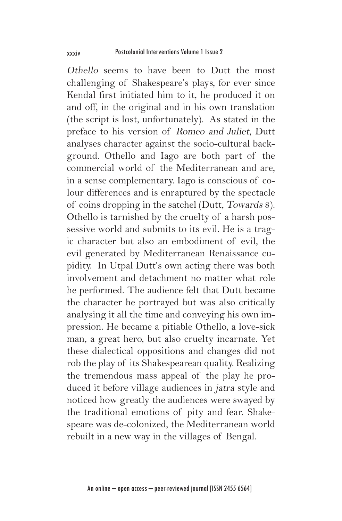Othello seems to have been to Dutt the most challenging of Shakespeare's plays, for ever since Kendal first initiated him to it, he produced it on and off, in the original and in his own translation (the script is lost, unfortunately). As stated in the preface to his version of Romeo and Juliet, Dutt analyses character against the socio-cultural background. Othello and Iago are both part of the commercial world of the Mediterranean and are, in a sense complementary. Iago is conscious of colour differences and is enraptured by the spectacle of coins dropping in the satchel (Dutt, Towards 8). Othello is tarnished by the cruelty of a harsh possessive world and submits to its evil. He is a tragic character but also an embodiment of evil, the evil generated by Mediterranean Renaissance cupidity. In Utpal Dutt's own acting there was both involvement and detachment no matter what role he performed. The audience felt that Dutt became the character he portrayed but was also critically analysing it all the time and conveying his own impression. He became a pitiable Othello, a love-sick man, a great hero, but also cruelty incarnate. Yet these dialectical oppositions and changes did not rob the play of its Shakespearean quality. Realizing the tremendous mass appeal of the play he produced it before village audiences in jatra style and noticed how greatly the audiences were swayed by the traditional emotions of pity and fear. Shakespeare was de-colonized, the Mediterranean world rebuilt in a new way in the villages of Bengal.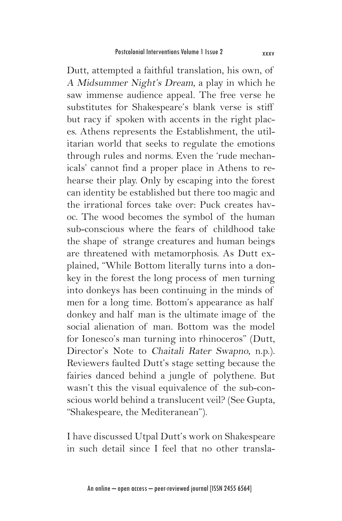Dutt, attempted a faithful translation, his own, of A Midsummer Night's Dream, a play in which he saw immense audience appeal. The free verse he substitutes for Shakespeare's blank verse is stiff but racy if spoken with accents in the right places. Athens represents the Establishment, the utilitarian world that seeks to regulate the emotions through rules and norms. Even the 'rude mechanicals' cannot find a proper place in Athens to rehearse their play. Only by escaping into the forest can identity be established but there too magic and the irrational forces take over: Puck creates havoc. The wood becomes the symbol of the human sub-conscious where the fears of childhood take the shape of strange creatures and human beings are threatened with metamorphosis. As Dutt explained, "While Bottom literally turns into a donkey in the forest the long process of men turning into donkeys has been continuing in the minds of men for a long time. Bottom's appearance as half donkey and half man is the ultimate image of the social alienation of man. Bottom was the model for Ionesco's man turning into rhinoceros" (Dutt, Director's Note to Chaitali Rater Swapno, n.p.). Reviewers faulted Dutt's stage setting because the fairies danced behind a jungle of polythene. But wasn't this the visual equivalence of the sub-conscious world behind a translucent veil? (See Gupta, "Shakespeare, the Mediteranean").

I have discussed Utpal Dutt's work on Shakespeare in such detail since I feel that no other transla-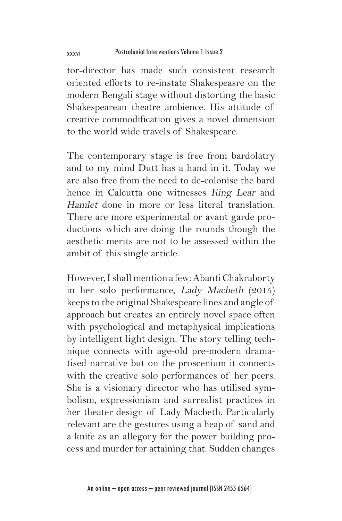tor-director has made such consistent research oriented efforts to re-instate Shakespeasre on the modern Bengali stage without distorting the basic Shakespearean theatre ambience. His attitude of creative commodification gives a novel dimension to the world wide travels of Shakespeare.

The contemporary stage is free from bardolatry and to my mind Dutt has a hand in it. Today we are also free from the need to de-colonise the bard hence in Calcutta one witnesses King Lear and Hamlet done in more or less literal translation. There are more experimental or avant garde productions which are doing the rounds though the aesthetic merits are not to be assessed within the ambit of this single article.

However, I shall mention a few: Abanti Chakraborty in her solo performance, Lady Macbeth (2015) keeps to the original Shakespeare lines and angle of approach but creates an entirely novel space often with psychological and metaphysical implications by intelligent light design. The story telling technique connects with age-old pre-modern dramatised narrative but on the proscenium it connects with the creative solo performances of her peers. She is a visionary director who has utilised symbolism, expressionism and surrealist practices in her theater design of Lady Macbeth. Particularly relevant are the gestures using a heap of sand and a knife as an allegory for the power building process and murder for attaining that. Sudden changes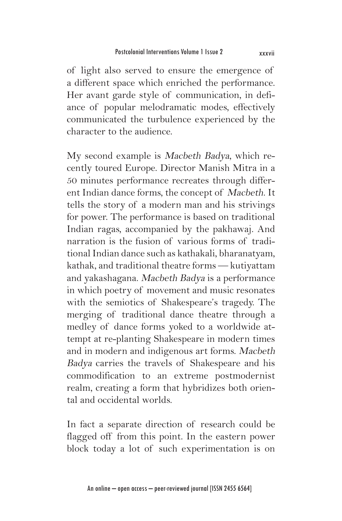of light also served to ensure the emergence of a different space which enriched the performance. Her avant garde style of communication, in defiance of popular melodramatic modes, effectively communicated the turbulence experienced by the character to the audience.

My second example is Macbeth Badya, which recently toured Europe. Director Manish Mitra in a 50 minutes performance recreates through different Indian dance forms, the concept of Macbeth. It tells the story of a modern man and his strivings for power. The performance is based on traditional Indian ragas, accompanied by the pakhawaj. And narration is the fusion of various forms of traditional Indian dance such as kathakali, bharanatyam, kathak, and traditional theatre forms — kutiyattam and yakashagana. Macbeth Badya is a performance in which poetry of movement and music resonates with the semiotics of Shakespeare's tragedy. The merging of traditional dance theatre through a medley of dance forms yoked to a worldwide attempt at re-planting Shakespeare in modern times and in modern and indigenous art forms. Macbeth Badya carries the travels of Shakespeare and his commodification to an extreme postmodernist realm, creating a form that hybridizes both oriental and occidental worlds.

In fact a separate direction of research could be flagged off from this point. In the eastern power block today a lot of such experimentation is on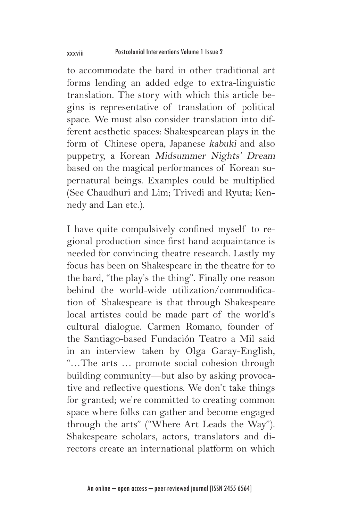to accommodate the bard in other traditional art forms lending an added edge to extra-linguistic translation. The story with which this article begins is representative of translation of political space. We must also consider translation into different aesthetic spaces: Shakespearean plays in the form of Chinese opera, Japanese kabuki and also puppetry, a Korean Midsummer Nights' Dream based on the magical performances of Korean supernatural beings. Examples could be multiplied (See Chaudhuri and Lim; Trivedi and Ryuta; Kennedy and Lan etc.).

I have quite compulsively confined myself to regional production since first hand acquaintance is needed for convincing theatre research. Lastly my focus has been on Shakespeare in the theatre for to the bard, "the play's the thing". Finally one reason behind the world-wide utilization/commodification of Shakespeare is that through Shakespeare local artistes could be made part of the world's cultural dialogue. Carmen Romano, founder of the Santiago-based Fundación Teatro a Mil said in an interview taken by Olga Garay-English, "…The arts … promote social cohesion through building community—but also by asking provocative and reflective questions. We don't take things for granted; we're committed to creating common space where folks can gather and become engaged through the arts" ("Where Art Leads the Way"). Shakespeare scholars, actors, translators and directors create an international platform on which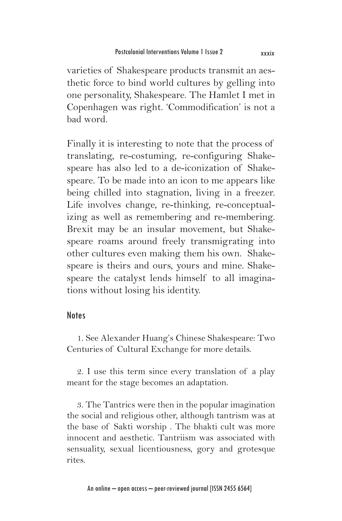varieties of Shakespeare products transmit an aesthetic force to bind world cultures by gelling into one personality, Shakespeare. The Hamlet I met in Copenhagen was right. 'Commodification' is not a bad word.

Finally it is interesting to note that the process of translating, re-costuming, re-configuring Shakespeare has also led to a de-iconization of Shakespeare. To be made into an icon to me appears like being chilled into stagnation, living in a freezer. Life involves change, re-thinking, re-conceptualizing as well as remembering and re-membering. Brexit may be an insular movement, but Shakespeare roams around freely transmigrating into other cultures even making them his own. Shakespeare is theirs and ours, yours and mine. Shakespeare the catalyst lends himself to all imaginations without losing his identity.

## Notes

1. See Alexander Huang's Chinese Shakespeare: Two Centuries of Cultural Exchange for more details.

2. I use this term since every translation of a play meant for the stage becomes an adaptation.

3. The Tantrics were then in the popular imagination the social and religious other, although tantrism was at the base of Sakti worship . The bhakti cult was more innocent and aesthetic. Tantriism was associated with sensuality, sexual licentiousness, gory and grotesque rites.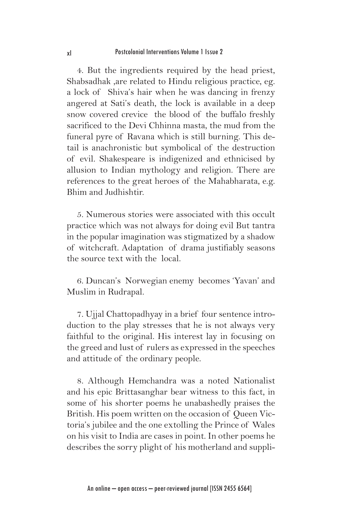4. But the ingredients required by the head priest, Shabsadhak ,are related to Hindu religious practice, eg. a lock of Shiva's hair when he was dancing in frenzy angered at Sati's death, the lock is available in a deep snow covered crevice the blood of the buffalo freshly sacrificed to the Devi Chhinna masta, the mud from the funeral pyre of Ravana which is still burning. This detail is anachronistic but symbolical of the destruction of evil. Shakespeare is indigenized and ethnicised by allusion to Indian mythology and religion. There are references to the great heroes of the Mahabharata, e.g. Bhim and Judhishtir.

5. Numerous stories were associated with this occult practice which was not always for doing evil But tantra in the popular imagination was stigmatized by a shadow of witchcraft. Adaptation of drama justifiably seasons the source text with the local.

6. Duncan's Norwegian enemy becomes 'Yavan' and Muslim in Rudrapal.

7. Ujjal Chattopadhyay in a brief four sentence introduction to the play stresses that he is not always very faithful to the original. His interest lay in focusing on the greed and lust of rulers as expressed in the speeches and attitude of the ordinary people.

8. Although Hemchandra was a noted Nationalist and his epic Brittasanghar bear witness to this fact, in some of his shorter poems he unabashedly praises the British. His poem written on the occasion of Queen Victoria's jubilee and the one extolling the Prince of Wales on his visit to India are cases in point. In other poems he describes the sorry plight of his motherland and suppli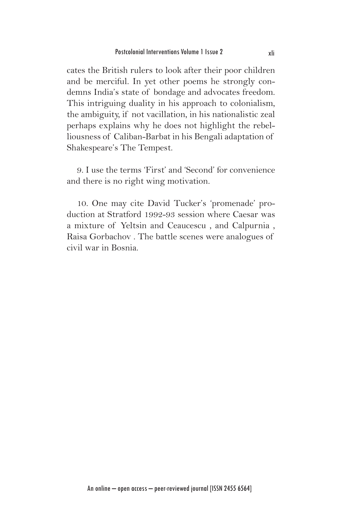cates the British rulers to look after their poor children and be merciful. In yet other poems he strongly condemns India's state of bondage and advocates freedom. This intriguing duality in his approach to colonialism, the ambiguity, if not vacillation, in his nationalistic zeal perhaps explains why he does not highlight the rebelliousness of Caliban-Barbat in his Bengali adaptation of Shakespeare's The Tempest.

9. I use the terms 'First' and 'Second' for convenience and there is no right wing motivation.

10. One may cite David Tucker's 'promenade' production at Stratford 1992-93 session where Caesar was a mixture of Yeltsin and Ceaucescu , and Calpurnia , Raisa Gorbachov . The battle scenes were analogues of civil war in Bosnia.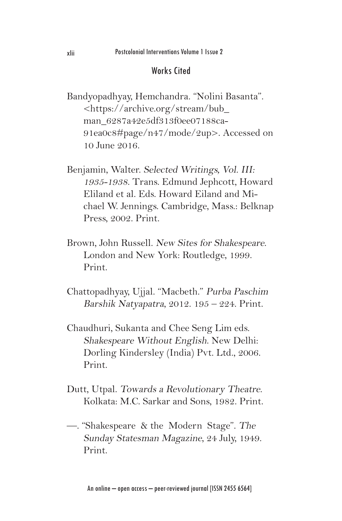## Works Cited

- Bandyopadhyay, Hemchandra. "Nolini Basanta". <https://archive.org/stream/bub\_ man\_6287a42e5df313f0ee07188ca-91ea0c8#page/n47/mode/2up>. Accessed on 10 June 2016.
- Benjamin, Walter. Selected Writings, Vol. III: 1935-1938. Trans. Edmund Jephcott, Howard Eliland et al. Eds. Howard Eiland and Michael W. Jennings. Cambridge, Mass.: Belknap Press, 2002. Print.
- Brown, John Russell. New Sites for Shakespeare. London and New York: Routledge, 1999. Print.
- Chattopadhyay, Ujjal. "Macbeth." Purba Paschim Barshik Natyapatra, 2012. 195 – 224. Print.
- Chaudhuri, Sukanta and Chee Seng Lim eds. Shakespeare Without English. New Delhi: Dorling Kindersley (India) Pvt. Ltd., 2006. Print.
- Dutt, Utpal. Towards a Revolutionary Theatre. Kolkata: M.C. Sarkar and Sons, 1982. Print.
- —. "Shakespeare & the Modern Stage". The Sunday Statesman Magazine, 24 July, 1949. Print.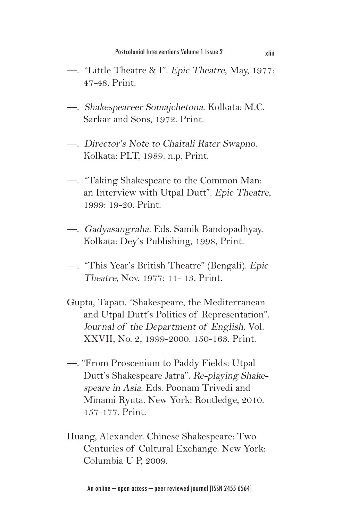- —. "Little Theatre & I". Epic Theatre, May, 1977: 47-48. Print.
- —. Shakespeareer Somajchetona. Kolkata: M.C. Sarkar and Sons, 1972. Print.
- —. Director's Note to Chaitali Rater Swapno. Kolkata: PLT, 1989. n.p. Print.
- —. "Taking Shakespeare to the Common Man: an Interview with Utpal Dutt". Epic Theatre, 1999: 19-20. Print.
- —. Gadyasangraha. Eds. Samik Bandopadhyay. Kolkata: Dey's Publishing, 1998, Print.
- —. "This Year's British Theatre" (Bengali). Epic Theatre, Nov. 1977: 11- 13. Print.
- Gupta, Tapati. "Shakespeare, the Mediterranean and Utpal Dutt's Politics of Representation". Journal of the Department of English. Vol. XXVII, No. 2, 1999-2000. 150-163. Print.
- —. "From Proscenium to Paddy Fields: Utpal Dutt's Shakespeare Jatra". Re-playing Shakespeare in Asia. Eds. Poonam Trivedi and Minami Ryuta. New York: Routledge, 2010. 157-177. Print.
- Huang, Alexander. Chinese Shakespeare: Two Centuries of Cultural Exchange. New York: Columbia U P, 2009.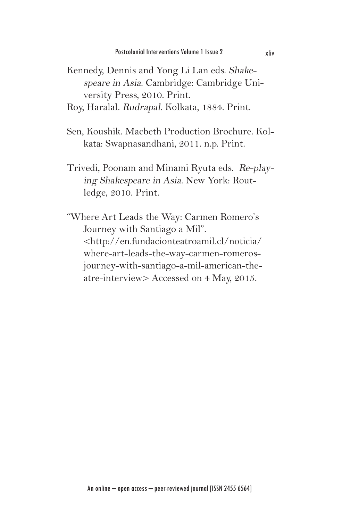- Kennedy, Dennis and Yong Li Lan eds. Shakespeare in Asia. Cambridge: Cambridge University Press, 2010. Print.
- Roy, Haralal. Rudrapal. Kolkata, 1884. Print.
- Sen, Koushik. Macbeth Production Brochure. Kolkata: Swapnasandhani, 2011. n.p. Print.
- Trivedi, Poonam and Minami Ryuta eds. Re-playing Shakespeare in Asia. New York: Routledge, 2010. Print.
- "Where Art Leads the Way: Carmen Romero's Journey with Santiago a Mil". <http://en.fundacionteatroamil.cl/noticia/ where-art-leads-the-way-carmen-romerosjourney-with-santiago-a-mil-american-theatre-interview> Accessed on 4 May, 2015.